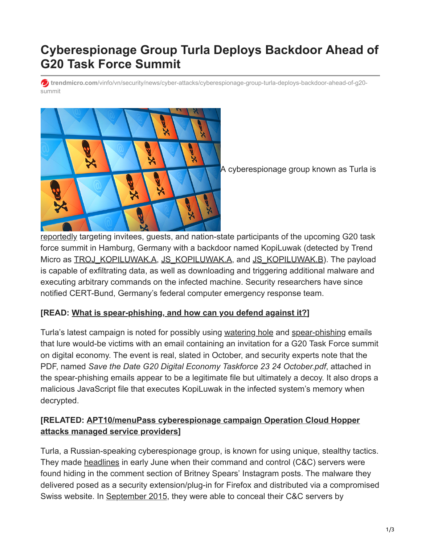# **Cyberespionage Group Turla Deploys Backdoor Ahead of G20 Task Force Summit**

**trendmicro.com**[/vinfo/vn/security/news/cyber-attacks/cyberespionage-group-turla-deploys-backdoor-ahead-of-g20](https://www.trendmicro.com/vinfo/vn/security/news/cyber-attacks/cyberespionage-group-turla-deploys-backdoor-ahead-of-g20-summit) summit



A cyberespionage group known as Turla is

[reportedly](http://www.ibtimes.co.uk/russian-hackers-caught-using-hijacked-pdf-files-infiltrate-g20-task-force-1635691) targeting invitees, guests, and nation-state participants of the upcoming G20 task force summit in Hamburg, Germany with a backdoor named KopiLuwak (detected by Trend Micro as **[TROJ\\_KOPILUWAK.A,](https://www.trendmicro.com/vinfo/vn/threat-encyclopedia/malware/TROJ_KOPILUWAK.A) [JS\\_KOPILUWAK.A,](https://www.trendmicro.com/vinfo/vn/threat-encyclopedia/malware/JS_KOPILUWAK.A) and [JS\\_KOPILUWAK.B](https://www.trendmicro.com/vinfo/vn/threat-encyclopedia/malware/JS_KOPILUWAK.B)**). The payload is capable of exfiltrating data, as well as downloading and triggering additional malware and executing arbitrary commands on the infected machine. Security researchers have since notified CERT-Bund, Germany's federal computer emergency response team.

### **[READ: [What is spear-phishing, and how can you defend against it?](https://www.trendmicro.com/vinfo/vn/security/news/cyber-attacks/spear-phishing-101-what-is-spear-phishing)]**

Turla's latest campaign is noted for possibly using [watering hole](https://www.trendmicro.com/vinfo/vn/threat-encyclopedia/web-attack/137/watering-hole-101) and [spear-phishing](https://www.trendmicro.com/vinfo/vn/security/news/cyber-attacks/spear-phishing-101-what-is-spear-phishing) emails that lure would-be victims with an email containing an invitation for a G20 Task Force summit on digital economy. The event is real, slated in October, and security experts note that the PDF, named *Save the Date G20 Digital Economy Taskforce 23 24 October.pdf*, attached in the spear-phishing emails appear to be a legitimate file but ultimately a decoy. It also drops a malicious JavaScript file that executes KopiLuwak in the infected system's memory when decrypted.

### **[\[RELATED: APT10/menuPass cyberespionage campaign Operation Cloud Hopper](https://www.trendmicro.com/vinfo/vn/security/news/cyber-attacks/operation-cloud-hopper-what-you-need-to-know) attacks managed service providers]**

Turla, a Russian-speaking cyberespionage group, is known for using unique, stealthy tactics. They made [headlines](https://www.scmagazineuk.com/russian-hackers-used-britney-spears-instagram-posts-to-control-malware/article/667180/) in early June when their command and control (C&C) servers were found hiding in the comment section of Britney Spears' Instagram posts. The malware they delivered posed as a security extension/plug-in for Firefox and distributed via a compromised Swiss website. In [September 2015](https://www.scmagazineuk.com/turla-in-the-sky-with-satellites-cyber-espionage-group-hides-cc-server-locale/article/535023/), they were able to conceal their C&C servers by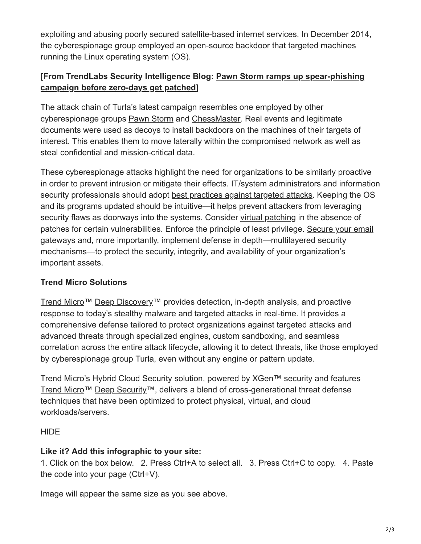exploiting and abusing poorly secured satellite-based internet services. In [December 2014](http://www.pcworld.com/article/2857472/the-turla-espionage-operation-also-infected-linux-systems-with-malware.html), the cyberespionage group employed an open-source backdoor that targeted machines running the Linux operating system (OS).

# **[\[From TrendLabs Security Intelligence Blog: Pawn Storm ramps up spear-phishing](https://blog.trendmicro.com/trendlabs-security-intelligence/pawn-storm-ramps-up-spear-phishing-before-zero-days-get-patched/) campaign before zero-days get patched]**

The attack chain of Turla's latest campaign resembles one employed by other cyberespionage groups [Pawn Storm](https://www.trendmicro.com/vinfo/vn/security/news/cyber-attacks/espionage-cyber-propaganda-two-years-of-pawn-storm) and [ChessMaster.](https://blog.trendmicro.com/trendlabs-security-intelligence/chessmaster-cyber-espionage-campaign/) Real events and legitimate documents were used as decoys to install backdoors on the machines of their targets of interest. This enables them to move laterally within the compromised network as well as steal confidential and mission-critical data.

These cyberespionage attacks highlight the need for organizations to be similarly proactive in order to prevent intrusion or mitigate their effects. IT/system administrators and information security professionals should adopt [best practices against targeted attacks](https://www.trendmicro.com/vinfo/vn/security/news/cyber-attacks/understanding-targeted-attacks-defensive-measures). Keeping the OS and its programs updated should be intuitive—it helps prevent attackers from leveraging security flaws as doorways into the systems. Consider [virtual patching](https://www.trendmicro.com/vinfo/vn/security/news/virtualization-and-cloud/virtual-patching-in-mixed-environments-how-it-protects-you/) in the absence of [patches for certain vulnerabilities. Enforce the principle of least privilege. Secure your email](https://www.trendmicro.com/vinfo/vn/security/news/cybercrime-and-digital-threats/infosec-guide-email-threats) gateways and, more importantly, implement defense in depth—multilayered security mechanisms—to protect the security, integrity, and availability of your organization's important assets.

# **Trend Micro Solutions**

[Trend Micro](https://www.trendmicro.com/en_us/business/products/network/deep-discovery.html)™ [Deep Discovery™](https://www.trendmicro.com/en_us/business/products/network/deep-discovery.html) provides detection, in-depth analysis, and proactive response to today's stealthy malware and targeted attacks in real-time. It provides a comprehensive defense tailored to protect organizations against targeted attacks and advanced threats through specialized engines, custom sandboxing, and seamless correlation across the entire attack lifecycle, allowing it to detect threats, like those employed by cyberespionage group Turla, even without any engine or pattern update.

Trend Micro's [Hybrid Cloud Security](https://www.trendmicro.com/en_us/business/products/hybrid-cloud.html) solution, powered by XGen™ security and features [Trend Micro](https://www.trendmicro.com/us/enterprise/cloud-solutions/deep-security/index.html)™ [Deep Security](https://www.trendmicro.com/us/enterprise/cloud-solutions/deep-security/index.html)™, delivers a blend of cross-generational threat defense techniques that have been optimized to protect physical, virtual, and cloud workloads/servers.

# **HIDE**

# **Like it? Add this infographic to your site:**

1. Click on the box below. 2. Press Ctrl+A to select all. 3. Press Ctrl+C to copy. 4. Paste the code into your page (Ctrl+V).

Image will appear the same size as you see above.